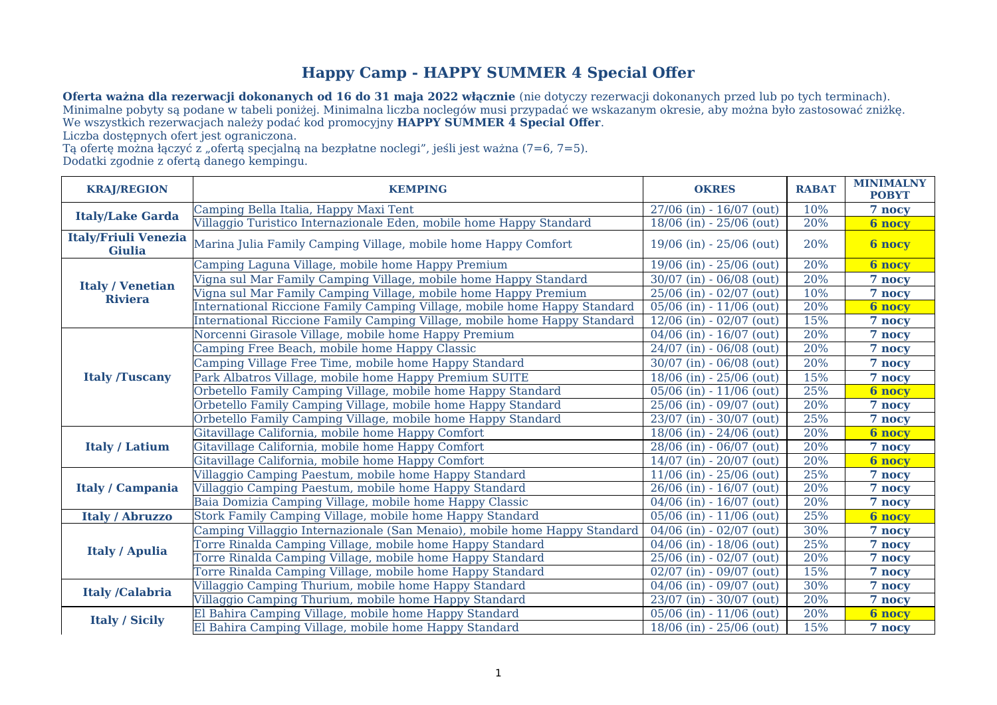## **Happy Camp - HAPPY SUMMER 4 Special Offer**

**Oferta ważna dla rezerwacji dokonanych od 16 do 31 maja 2022 włącznie** (nie dotyczy rezerwacji dokonanych przed lub po tych terminach). Minimalne pobyty są podane w tabeli poniżej. Minimalna liczba noclegów musi przypadać we wskazanym okresie, aby można było zastosować zniżkę. We wszystkich rezerwacjach należy podać kod promocyjny **HAPPY SUMMER 4 Special Offer**.

Liczba dostępnych ofert jest ograniczona.

Tą ofertę można łączyć z "ofertą specjalną na bezpłatne noclegi", jeśli jest ważna (7=6, 7=5). Dodatki zgodnie z ofertą danego kempingu.

| <b>KRAJ/REGION</b>                           | <b>KEMPING</b>                                                            | <b>OKRES</b>                 | <b>RABAT</b> | <b>MINIMALNY</b><br><b>POBYT</b> |
|----------------------------------------------|---------------------------------------------------------------------------|------------------------------|--------------|----------------------------------|
| <b>Italy/Lake Garda</b>                      | Camping Bella Italia, Happy Maxi Tent                                     | $27/06$ (in) - 16/07 (out)   | 10%          | 7 nocy                           |
|                                              | Villaggio Turistico Internazionale Eden, mobile home Happy Standard       | 18/06 (in) - 25/06 (out)     | 20%          | <b>6 nocy</b>                    |
| <b>Italy/Friuli Venezia</b><br><b>Giulia</b> | Marina Julia Family Camping Village, mobile home Happy Comfort            | $19/06$ (in) - 25/06 (out)   | 20%          | <b>6 nocy</b>                    |
| <b>Italy / Venetian</b><br><b>Riviera</b>    | Camping Laguna Village, mobile home Happy Premium                         | 19/06 (in) - 25/06 (out)     | 20%          | <b>6 nocy</b>                    |
|                                              | Vigna sul Mar Family Camping Village, mobile home Happy Standard          | $30/07$ (in) - 06/08 (out)   | 20%          | 7 nocy                           |
|                                              | Vigna sul Mar Family Camping Village, mobile home Happy Premium           | 25/06 (in) - 02/07 (out)     | 10%          | 7 nocy                           |
|                                              | International Riccione Family Camping Village, mobile home Happy Standard | $05/06$ (in) - $11/06$ (out) | 20%          | <b>6 nocy</b>                    |
|                                              | International Riccione Family Camping Village, mobile home Happy Standard | $12/06$ (in) - 02/07 (out)   | 15%          | 7 nocy                           |
| <b>Italy /Tuscany</b>                        | Norcenni Girasole Village, mobile home Happy Premium                      | 04/06 (in) - 16/07 (out)     | 20%          | 7 nocy                           |
|                                              | Camping Free Beach, mobile home Happy Classic                             | $24/07$ (in) - 06/08 (out)   | 20%          | 7 nocy                           |
|                                              | Camping Village Free Time, mobile home Happy Standard                     | 30/07 (in) - 06/08 (out)     | 20%          | 7 nocy                           |
|                                              | Park Albatros Village, mobile home Happy Premium SUITE                    | $18/06$ (in) - 25/06 (out)   | 15%          | 7 nocy                           |
|                                              | Orbetello Family Camping Village, mobile home Happy Standard              | $05/06$ (in) - $11/06$ (out) | 25%          | <b>6 nocy</b>                    |
|                                              | Orbetello Family Camping Village, mobile home Happy Standard              | 25/06 (in) - 09/07 (out)     | 20%          | 7 nocy                           |
|                                              | Orbetello Family Camping Village, mobile home Happy Standard              | 23/07 (in) - 30/07 (out)     | 25%          | 7 nocy                           |
| <b>Italy / Latium</b>                        | Gitavillage California, mobile home Happy Comfort                         | 18/06 (in) - 24/06 (out)     | 20%          | <b>6 nocy</b>                    |
|                                              | Gitavillage California, mobile home Happy Comfort                         | 28/06 (in) - 06/07 (out)     | 20%          | 7 nocy                           |
|                                              | Gitavillage California, mobile home Happy Comfort                         | $14/07$ (in) - 20/07 (out)   | 20%          | <b>6 nocy</b>                    |
| <b>Italy / Campania</b>                      | Villaggio Camping Paestum, mobile home Happy Standard                     | $11/06$ (in) - 25/06 (out)   | 25%          | 7 nocy                           |
|                                              | Villaggio Camping Paestum, mobile home Happy Standard                     | $26/06$ (in) - 16/07 (out)   | 20%          | 7 nocy                           |
|                                              | Baia Domizia Camping Village, mobile home Happy Classic                   | $04/06$ (in) - $16/07$ (out) | 20%          | 7 nocy                           |
| <b>Italy / Abruzzo</b>                       | Stork Family Camping Village, mobile home Happy Standard                  | 05/06 (in) - 11/06 (out)     | 25%          | <b>6 nocy</b>                    |
| <b>Italy / Apulia</b>                        | Camping Villaggio Internazionale (San Menaio), mobile home Happy Standard | $04/06$ (in) - 02/07 (out)   | 30%          | 7 nocy                           |
|                                              | Torre Rinalda Camping Village, mobile home Happy Standard                 | 04/06 (in) - 18/06 (out)     | 25%          | 7 nocy                           |
|                                              | Torre Rinalda Camping Village, mobile home Happy Standard                 | 25/06 (in) - 02/07 (out)     | 20%          | 7 nocy                           |
|                                              | Torre Rinalda Camping Village, mobile home Happy Standard                 | $02/07$ (in) - 09/07 (out)   | 15%          | 7 nocy                           |
| <b>Italy/Calabria</b>                        | Villaggio Camping Thurium, mobile home Happy Standard                     | $04/06$ (in) - 09/07 (out)   | 30%          | 7 nocy                           |
|                                              | Villaggio Camping Thurium, mobile home Happy Standard                     | $23/07$ (in) - 30/07 (out)   | 20%          | 7 nocy                           |
| <b>Italy / Sicily</b>                        | El Bahira Camping Village, mobile home Happy Standard                     | 05/06 (in) - 11/06 (out)     | 20%          | <b>6 nocy</b>                    |
|                                              | El Bahira Camping Village, mobile home Happy Standard                     | 18/06 (in) - 25/06 (out)     | 15%          | 7 nocy                           |